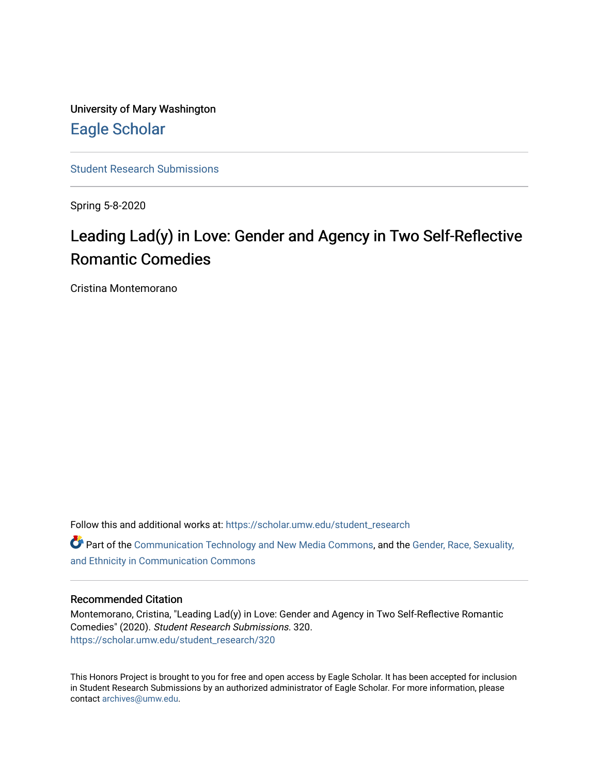University of Mary Washington [Eagle Scholar](https://scholar.umw.edu/) 

[Student Research Submissions](https://scholar.umw.edu/student_research) 

Spring 5-8-2020

# Leading Lad(y) in Love: Gender and Agency in Two Self-Reflective Romantic Comedies

Cristina Montemorano

Follow this and additional works at: [https://scholar.umw.edu/student\\_research](https://scholar.umw.edu/student_research?utm_source=scholar.umw.edu%2Fstudent_research%2F320&utm_medium=PDF&utm_campaign=PDFCoverPages)

Part of the [Communication Technology and New Media Commons,](http://network.bepress.com/hgg/discipline/327?utm_source=scholar.umw.edu%2Fstudent_research%2F320&utm_medium=PDF&utm_campaign=PDFCoverPages) and the [Gender, Race, Sexuality,](http://network.bepress.com/hgg/discipline/329?utm_source=scholar.umw.edu%2Fstudent_research%2F320&utm_medium=PDF&utm_campaign=PDFCoverPages)  [and Ethnicity in Communication Commons](http://network.bepress.com/hgg/discipline/329?utm_source=scholar.umw.edu%2Fstudent_research%2F320&utm_medium=PDF&utm_campaign=PDFCoverPages)

# Recommended Citation

Montemorano, Cristina, "Leading Lad(y) in Love: Gender and Agency in Two Self-Reflective Romantic Comedies" (2020). Student Research Submissions. 320. [https://scholar.umw.edu/student\\_research/320](https://scholar.umw.edu/student_research/320?utm_source=scholar.umw.edu%2Fstudent_research%2F320&utm_medium=PDF&utm_campaign=PDFCoverPages)

This Honors Project is brought to you for free and open access by Eagle Scholar. It has been accepted for inclusion in Student Research Submissions by an authorized administrator of Eagle Scholar. For more information, please contact [archives@umw.edu](mailto:archives@umw.edu).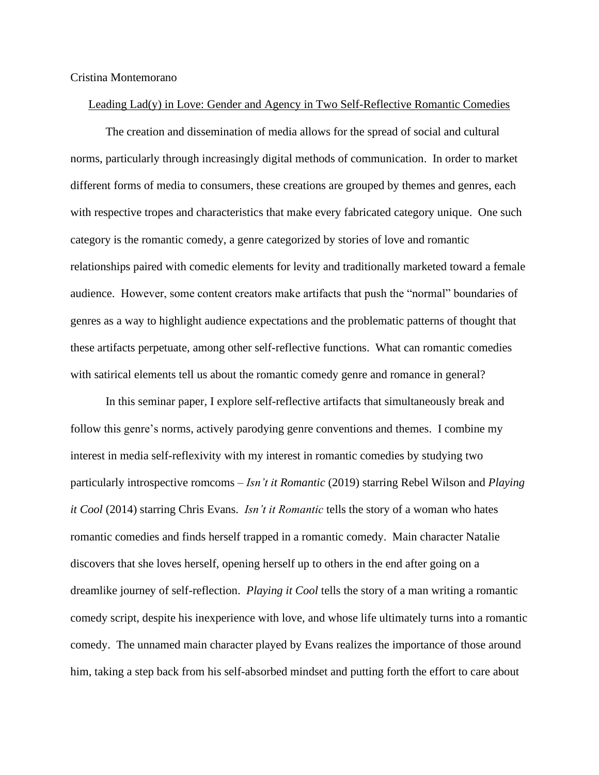## Cristina Montemorano

# Leading Lad(y) in Love: Gender and Agency in Two Self-Reflective Romantic Comedies

The creation and dissemination of media allows for the spread of social and cultural norms, particularly through increasingly digital methods of communication. In order to market different forms of media to consumers, these creations are grouped by themes and genres, each with respective tropes and characteristics that make every fabricated category unique. One such category is the romantic comedy, a genre categorized by stories of love and romantic relationships paired with comedic elements for levity and traditionally marketed toward a female audience. However, some content creators make artifacts that push the "normal" boundaries of genres as a way to highlight audience expectations and the problematic patterns of thought that these artifacts perpetuate, among other self-reflective functions. What can romantic comedies with satirical elements tell us about the romantic comedy genre and romance in general?

In this seminar paper, I explore self-reflective artifacts that simultaneously break and follow this genre's norms, actively parodying genre conventions and themes. I combine my interest in media self-reflexivity with my interest in romantic comedies by studying two particularly introspective romcoms – *Isn't it Romantic* (2019) starring Rebel Wilson and *Playing it Cool* (2014) starring Chris Evans. *Isn't it Romantic* tells the story of a woman who hates romantic comedies and finds herself trapped in a romantic comedy. Main character Natalie discovers that she loves herself, opening herself up to others in the end after going on a dreamlike journey of self-reflection. *Playing it Cool* tells the story of a man writing a romantic comedy script, despite his inexperience with love, and whose life ultimately turns into a romantic comedy. The unnamed main character played by Evans realizes the importance of those around him, taking a step back from his self-absorbed mindset and putting forth the effort to care about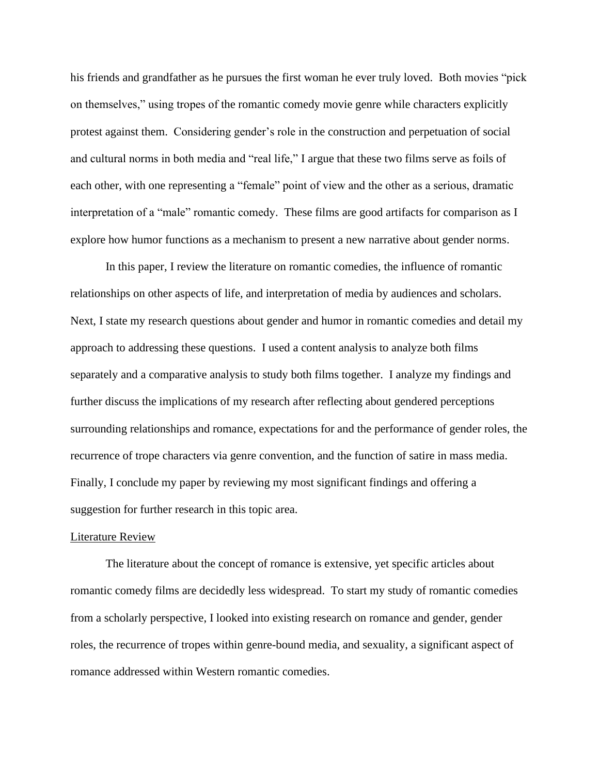his friends and grandfather as he pursues the first woman he ever truly loved. Both movies "pick on themselves," using tropes of the romantic comedy movie genre while characters explicitly protest against them. Considering gender's role in the construction and perpetuation of social and cultural norms in both media and "real life," I argue that these two films serve as foils of each other, with one representing a "female" point of view and the other as a serious, dramatic interpretation of a "male" romantic comedy. These films are good artifacts for comparison as I explore how humor functions as a mechanism to present a new narrative about gender norms.

In this paper, I review the literature on romantic comedies, the influence of romantic relationships on other aspects of life, and interpretation of media by audiences and scholars. Next, I state my research questions about gender and humor in romantic comedies and detail my approach to addressing these questions. I used a content analysis to analyze both films separately and a comparative analysis to study both films together. I analyze my findings and further discuss the implications of my research after reflecting about gendered perceptions surrounding relationships and romance, expectations for and the performance of gender roles, the recurrence of trope characters via genre convention, and the function of satire in mass media. Finally, I conclude my paper by reviewing my most significant findings and offering a suggestion for further research in this topic area.

#### Literature Review

The literature about the concept of romance is extensive, yet specific articles about romantic comedy films are decidedly less widespread. To start my study of romantic comedies from a scholarly perspective, I looked into existing research on romance and gender, gender roles, the recurrence of tropes within genre-bound media, and sexuality, a significant aspect of romance addressed within Western romantic comedies.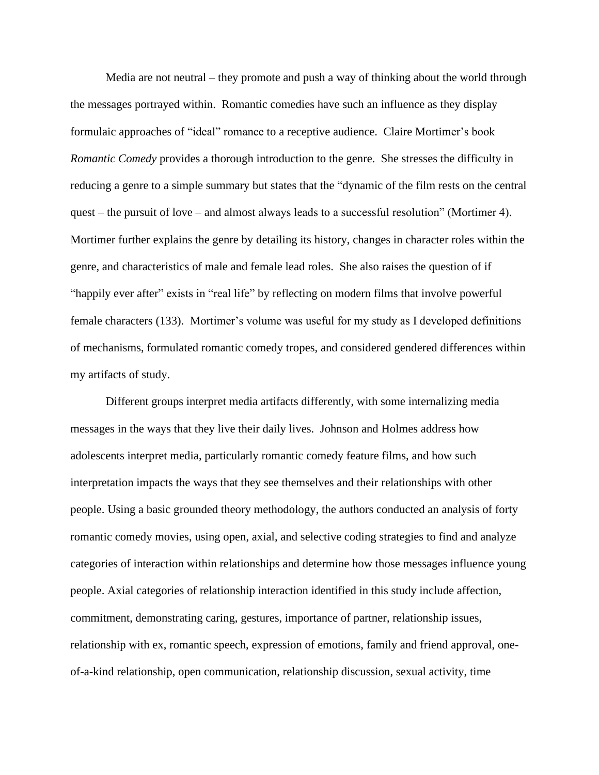Media are not neutral – they promote and push a way of thinking about the world through the messages portrayed within. Romantic comedies have such an influence as they display formulaic approaches of "ideal" romance to a receptive audience. Claire Mortimer's book *Romantic Comedy* provides a thorough introduction to the genre. She stresses the difficulty in reducing a genre to a simple summary but states that the "dynamic of the film rests on the central quest – the pursuit of love – and almost always leads to a successful resolution" (Mortimer 4). Mortimer further explains the genre by detailing its history, changes in character roles within the genre, and characteristics of male and female lead roles. She also raises the question of if "happily ever after" exists in "real life" by reflecting on modern films that involve powerful female characters (133). Mortimer's volume was useful for my study as I developed definitions of mechanisms, formulated romantic comedy tropes, and considered gendered differences within my artifacts of study.

Different groups interpret media artifacts differently, with some internalizing media messages in the ways that they live their daily lives. Johnson and Holmes address how adolescents interpret media, particularly romantic comedy feature films, and how such interpretation impacts the ways that they see themselves and their relationships with other people. Using a basic grounded theory methodology, the authors conducted an analysis of forty romantic comedy movies, using open, axial, and selective coding strategies to find and analyze categories of interaction within relationships and determine how those messages influence young people. Axial categories of relationship interaction identified in this study include affection, commitment, demonstrating caring, gestures, importance of partner, relationship issues, relationship with ex, romantic speech, expression of emotions, family and friend approval, oneof-a-kind relationship, open communication, relationship discussion, sexual activity, time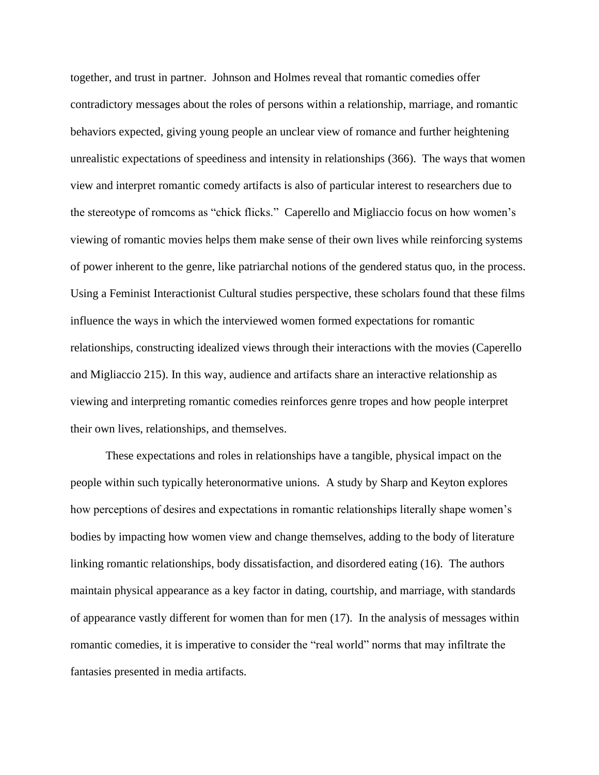together, and trust in partner. Johnson and Holmes reveal that romantic comedies offer contradictory messages about the roles of persons within a relationship, marriage, and romantic behaviors expected, giving young people an unclear view of romance and further heightening unrealistic expectations of speediness and intensity in relationships (366). The ways that women view and interpret romantic comedy artifacts is also of particular interest to researchers due to the stereotype of romcoms as "chick flicks." Caperello and Migliaccio focus on how women's viewing of romantic movies helps them make sense of their own lives while reinforcing systems of power inherent to the genre, like patriarchal notions of the gendered status quo, in the process. Using a Feminist Interactionist Cultural studies perspective, these scholars found that these films influence the ways in which the interviewed women formed expectations for romantic relationships, constructing idealized views through their interactions with the movies (Caperello and Migliaccio 215). In this way, audience and artifacts share an interactive relationship as viewing and interpreting romantic comedies reinforces genre tropes and how people interpret their own lives, relationships, and themselves.

These expectations and roles in relationships have a tangible, physical impact on the people within such typically heteronormative unions. A study by Sharp and Keyton explores how perceptions of desires and expectations in romantic relationships literally shape women's bodies by impacting how women view and change themselves, adding to the body of literature linking romantic relationships, body dissatisfaction, and disordered eating (16). The authors maintain physical appearance as a key factor in dating, courtship, and marriage, with standards of appearance vastly different for women than for men (17). In the analysis of messages within romantic comedies, it is imperative to consider the "real world" norms that may infiltrate the fantasies presented in media artifacts.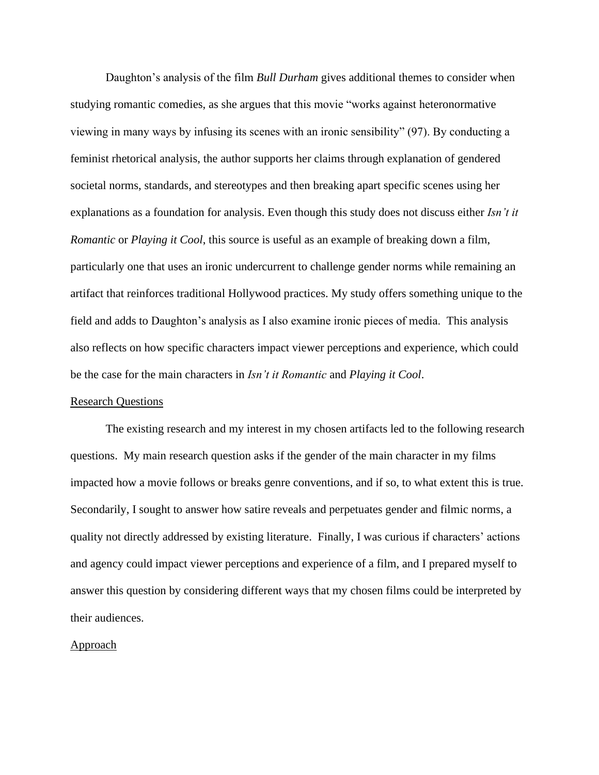Daughton's analysis of the film *Bull Durham* gives additional themes to consider when studying romantic comedies, as she argues that this movie "works against heteronormative viewing in many ways by infusing its scenes with an ironic sensibility" (97). By conducting a feminist rhetorical analysis, the author supports her claims through explanation of gendered societal norms, standards, and stereotypes and then breaking apart specific scenes using her explanations as a foundation for analysis. Even though this study does not discuss either *Isn't it Romantic* or *Playing it Cool*, this source is useful as an example of breaking down a film, particularly one that uses an ironic undercurrent to challenge gender norms while remaining an artifact that reinforces traditional Hollywood practices. My study offers something unique to the field and adds to Daughton's analysis as I also examine ironic pieces of media. This analysis also reflects on how specific characters impact viewer perceptions and experience, which could be the case for the main characters in *Isn't it Romantic* and *Playing it Cool*.

#### Research Questions

The existing research and my interest in my chosen artifacts led to the following research questions. My main research question asks if the gender of the main character in my films impacted how a movie follows or breaks genre conventions, and if so, to what extent this is true. Secondarily, I sought to answer how satire reveals and perpetuates gender and filmic norms, a quality not directly addressed by existing literature. Finally, I was curious if characters' actions and agency could impact viewer perceptions and experience of a film, and I prepared myself to answer this question by considering different ways that my chosen films could be interpreted by their audiences.

# Approach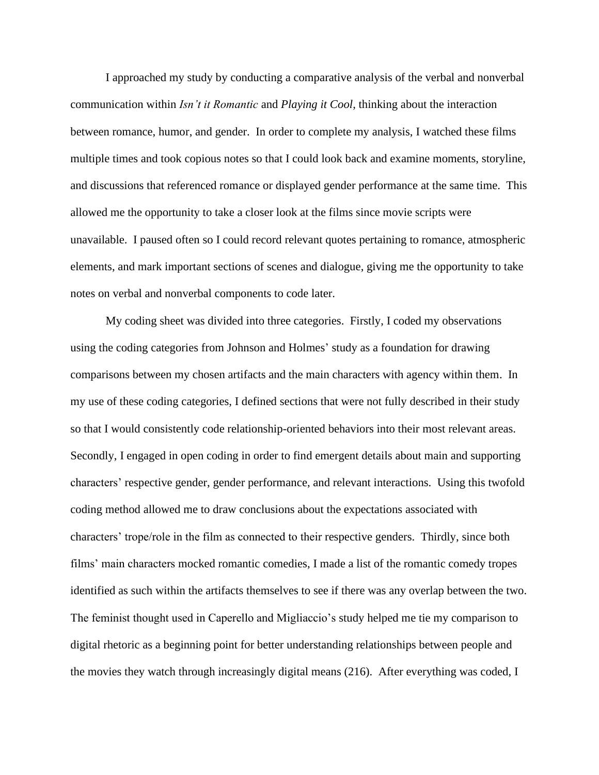I approached my study by conducting a comparative analysis of the verbal and nonverbal communication within *Isn't it Romantic* and *Playing it Cool*, thinking about the interaction between romance, humor, and gender. In order to complete my analysis, I watched these films multiple times and took copious notes so that I could look back and examine moments, storyline, and discussions that referenced romance or displayed gender performance at the same time. This allowed me the opportunity to take a closer look at the films since movie scripts were unavailable. I paused often so I could record relevant quotes pertaining to romance, atmospheric elements, and mark important sections of scenes and dialogue, giving me the opportunity to take notes on verbal and nonverbal components to code later.

My coding sheet was divided into three categories. Firstly, I coded my observations using the coding categories from Johnson and Holmes' study as a foundation for drawing comparisons between my chosen artifacts and the main characters with agency within them. In my use of these coding categories, I defined sections that were not fully described in their study so that I would consistently code relationship-oriented behaviors into their most relevant areas. Secondly, I engaged in open coding in order to find emergent details about main and supporting characters' respective gender, gender performance, and relevant interactions. Using this twofold coding method allowed me to draw conclusions about the expectations associated with characters' trope/role in the film as connected to their respective genders. Thirdly, since both films' main characters mocked romantic comedies, I made a list of the romantic comedy tropes identified as such within the artifacts themselves to see if there was any overlap between the two. The feminist thought used in Caperello and Migliaccio's study helped me tie my comparison to digital rhetoric as a beginning point for better understanding relationships between people and the movies they watch through increasingly digital means (216). After everything was coded, I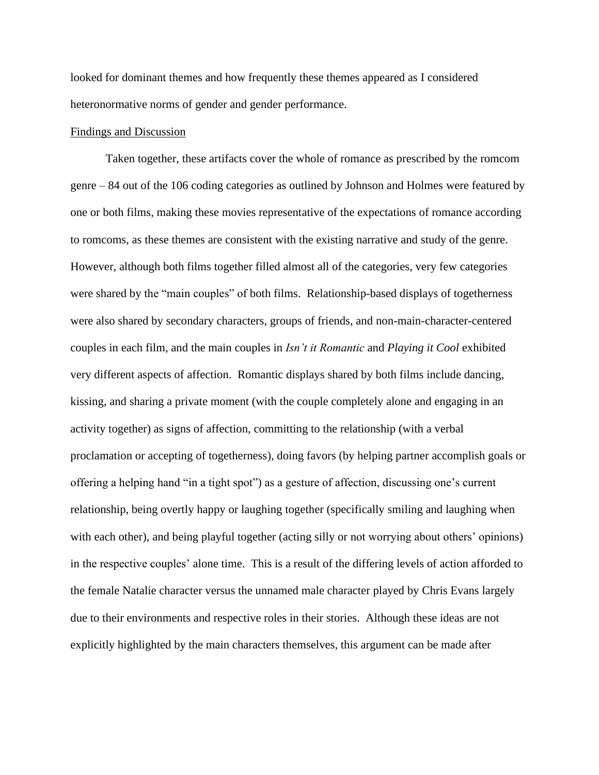looked for dominant themes and how frequently these themes appeared as I considered heteronormative norms of gender and gender performance.

## Findings and Discussion

Taken together, these artifacts cover the whole of romance as prescribed by the romcom genre – 84 out of the 106 coding categories as outlined by Johnson and Holmes were featured by one or both films, making these movies representative of the expectations of romance according to romcoms, as these themes are consistent with the existing narrative and study of the genre. However, although both films together filled almost all of the categories, very few categories were shared by the "main couples" of both films. Relationship-based displays of togetherness were also shared by secondary characters, groups of friends, and non-main-character-centered couples in each film, and the main couples in *Isn't it Romantic* and *Playing it Cool* exhibited very different aspects of affection. Romantic displays shared by both films include dancing, kissing, and sharing a private moment (with the couple completely alone and engaging in an activity together) as signs of affection, committing to the relationship (with a verbal proclamation or accepting of togetherness), doing favors (by helping partner accomplish goals or offering a helping hand "in a tight spot") as a gesture of affection, discussing one's current relationship, being overtly happy or laughing together (specifically smiling and laughing when with each other), and being playful together (acting silly or not worrying about others' opinions) in the respective couples' alone time. This is a result of the differing levels of action afforded to the female Natalie character versus the unnamed male character played by Chris Evans largely due to their environments and respective roles in their stories. Although these ideas are not explicitly highlighted by the main characters themselves, this argument can be made after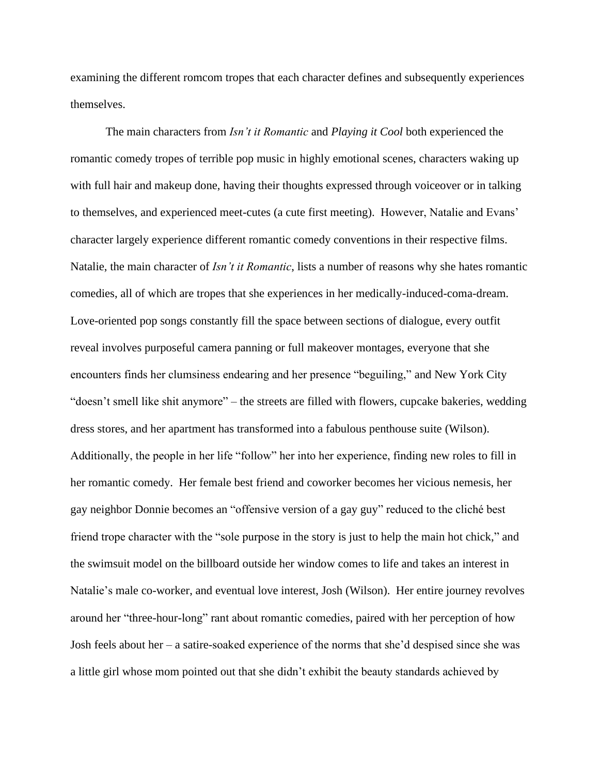examining the different romcom tropes that each character defines and subsequently experiences themselves.

The main characters from *Isn't it Romantic* and *Playing it Cool* both experienced the romantic comedy tropes of terrible pop music in highly emotional scenes, characters waking up with full hair and makeup done, having their thoughts expressed through voiceover or in talking to themselves, and experienced meet-cutes (a cute first meeting). However, Natalie and Evans' character largely experience different romantic comedy conventions in their respective films. Natalie, the main character of *Isn't it Romantic*, lists a number of reasons why she hates romantic comedies, all of which are tropes that she experiences in her medically-induced-coma-dream. Love-oriented pop songs constantly fill the space between sections of dialogue, every outfit reveal involves purposeful camera panning or full makeover montages, everyone that she encounters finds her clumsiness endearing and her presence "beguiling," and New York City "doesn't smell like shit anymore" – the streets are filled with flowers, cupcake bakeries, wedding dress stores, and her apartment has transformed into a fabulous penthouse suite (Wilson). Additionally, the people in her life "follow" her into her experience, finding new roles to fill in her romantic comedy. Her female best friend and coworker becomes her vicious nemesis, her gay neighbor Donnie becomes an "offensive version of a gay guy" reduced to the cliché best friend trope character with the "sole purpose in the story is just to help the main hot chick," and the swimsuit model on the billboard outside her window comes to life and takes an interest in Natalie's male co-worker, and eventual love interest, Josh (Wilson). Her entire journey revolves around her "three-hour-long" rant about romantic comedies, paired with her perception of how Josh feels about her – a satire-soaked experience of the norms that she'd despised since she was a little girl whose mom pointed out that she didn't exhibit the beauty standards achieved by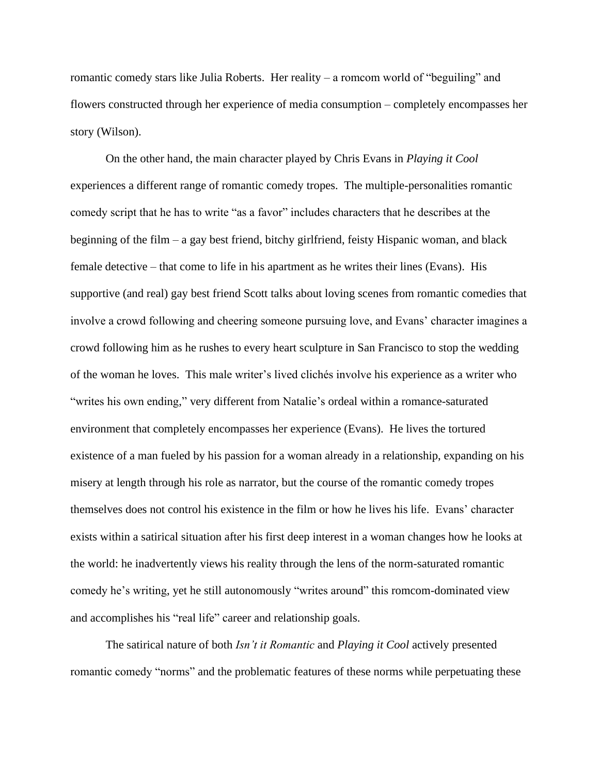romantic comedy stars like Julia Roberts. Her reality – a romcom world of "beguiling" and flowers constructed through her experience of media consumption – completely encompasses her story (Wilson).

On the other hand, the main character played by Chris Evans in *Playing it Cool*  experiences a different range of romantic comedy tropes. The multiple-personalities romantic comedy script that he has to write "as a favor" includes characters that he describes at the beginning of the film – a gay best friend, bitchy girlfriend, feisty Hispanic woman, and black female detective – that come to life in his apartment as he writes their lines (Evans). His supportive (and real) gay best friend Scott talks about loving scenes from romantic comedies that involve a crowd following and cheering someone pursuing love, and Evans' character imagines a crowd following him as he rushes to every heart sculpture in San Francisco to stop the wedding of the woman he loves. This male writer's lived clichés involve his experience as a writer who "writes his own ending," very different from Natalie's ordeal within a romance-saturated environment that completely encompasses her experience (Evans). He lives the tortured existence of a man fueled by his passion for a woman already in a relationship, expanding on his misery at length through his role as narrator, but the course of the romantic comedy tropes themselves does not control his existence in the film or how he lives his life. Evans' character exists within a satirical situation after his first deep interest in a woman changes how he looks at the world: he inadvertently views his reality through the lens of the norm-saturated romantic comedy he's writing, yet he still autonomously "writes around" this romcom-dominated view and accomplishes his "real life" career and relationship goals.

The satirical nature of both *Isn't it Romantic* and *Playing it Cool* actively presented romantic comedy "norms" and the problematic features of these norms while perpetuating these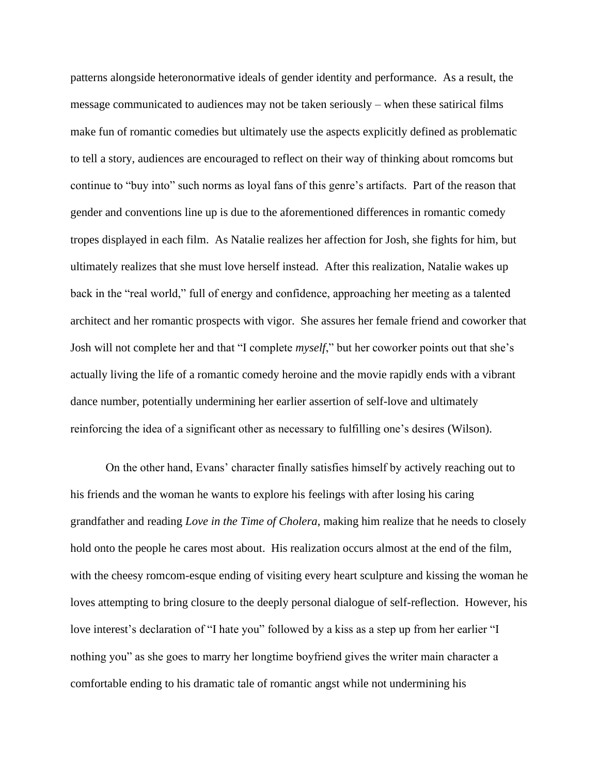patterns alongside heteronormative ideals of gender identity and performance. As a result, the message communicated to audiences may not be taken seriously – when these satirical films make fun of romantic comedies but ultimately use the aspects explicitly defined as problematic to tell a story, audiences are encouraged to reflect on their way of thinking about romcoms but continue to "buy into" such norms as loyal fans of this genre's artifacts. Part of the reason that gender and conventions line up is due to the aforementioned differences in romantic comedy tropes displayed in each film. As Natalie realizes her affection for Josh, she fights for him, but ultimately realizes that she must love herself instead. After this realization, Natalie wakes up back in the "real world," full of energy and confidence, approaching her meeting as a talented architect and her romantic prospects with vigor. She assures her female friend and coworker that Josh will not complete her and that "I complete *myself*," but her coworker points out that she's actually living the life of a romantic comedy heroine and the movie rapidly ends with a vibrant dance number, potentially undermining her earlier assertion of self-love and ultimately reinforcing the idea of a significant other as necessary to fulfilling one's desires (Wilson).

On the other hand, Evans' character finally satisfies himself by actively reaching out to his friends and the woman he wants to explore his feelings with after losing his caring grandfather and reading *Love in the Time of Cholera*, making him realize that he needs to closely hold onto the people he cares most about. His realization occurs almost at the end of the film, with the cheesy romcom-esque ending of visiting every heart sculpture and kissing the woman he loves attempting to bring closure to the deeply personal dialogue of self-reflection. However, his love interest's declaration of "I hate you" followed by a kiss as a step up from her earlier "I nothing you" as she goes to marry her longtime boyfriend gives the writer main character a comfortable ending to his dramatic tale of romantic angst while not undermining his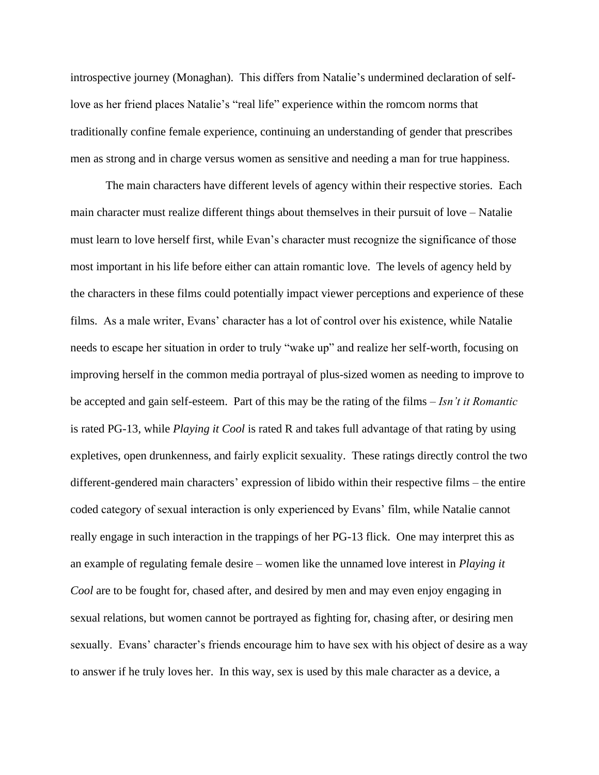introspective journey (Monaghan). This differs from Natalie's undermined declaration of selflove as her friend places Natalie's "real life" experience within the romcom norms that traditionally confine female experience, continuing an understanding of gender that prescribes men as strong and in charge versus women as sensitive and needing a man for true happiness.

The main characters have different levels of agency within their respective stories. Each main character must realize different things about themselves in their pursuit of love – Natalie must learn to love herself first, while Evan's character must recognize the significance of those most important in his life before either can attain romantic love. The levels of agency held by the characters in these films could potentially impact viewer perceptions and experience of these films. As a male writer, Evans' character has a lot of control over his existence, while Natalie needs to escape her situation in order to truly "wake up" and realize her self-worth, focusing on improving herself in the common media portrayal of plus-sized women as needing to improve to be accepted and gain self-esteem. Part of this may be the rating of the films – *Isn't it Romantic*  is rated PG-13, while *Playing it Cool* is rated R and takes full advantage of that rating by using expletives, open drunkenness, and fairly explicit sexuality. These ratings directly control the two different-gendered main characters' expression of libido within their respective films – the entire coded category of sexual interaction is only experienced by Evans' film, while Natalie cannot really engage in such interaction in the trappings of her PG-13 flick. One may interpret this as an example of regulating female desire – women like the unnamed love interest in *Playing it Cool* are to be fought for, chased after, and desired by men and may even enjoy engaging in sexual relations, but women cannot be portrayed as fighting for, chasing after, or desiring men sexually. Evans' character's friends encourage him to have sex with his object of desire as a way to answer if he truly loves her. In this way, sex is used by this male character as a device, a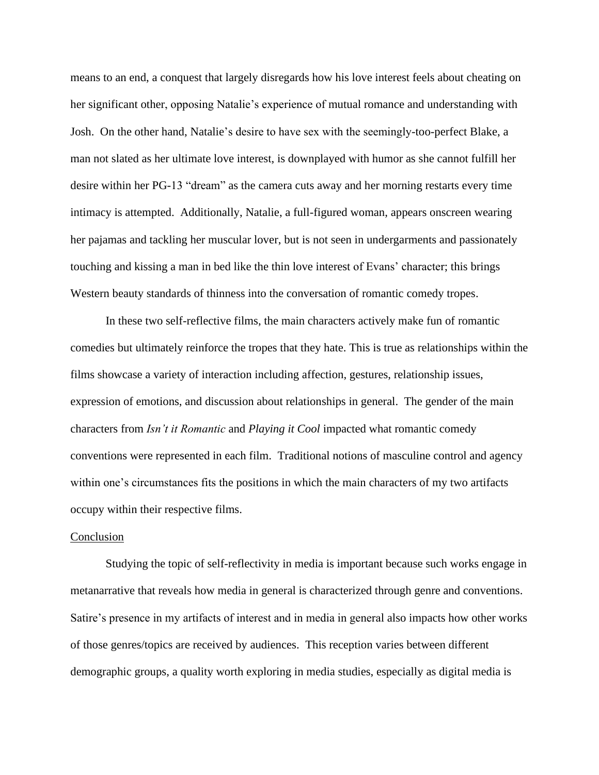means to an end, a conquest that largely disregards how his love interest feels about cheating on her significant other, opposing Natalie's experience of mutual romance and understanding with Josh. On the other hand, Natalie's desire to have sex with the seemingly-too-perfect Blake, a man not slated as her ultimate love interest, is downplayed with humor as she cannot fulfill her desire within her PG-13 "dream" as the camera cuts away and her morning restarts every time intimacy is attempted. Additionally, Natalie, a full-figured woman, appears onscreen wearing her pajamas and tackling her muscular lover, but is not seen in undergarments and passionately touching and kissing a man in bed like the thin love interest of Evans' character; this brings Western beauty standards of thinness into the conversation of romantic comedy tropes.

In these two self-reflective films, the main characters actively make fun of romantic comedies but ultimately reinforce the tropes that they hate. This is true as relationships within the films showcase a variety of interaction including affection, gestures, relationship issues, expression of emotions, and discussion about relationships in general. The gender of the main characters from *Isn't it Romantic* and *Playing it Cool* impacted what romantic comedy conventions were represented in each film. Traditional notions of masculine control and agency within one's circumstances fits the positions in which the main characters of my two artifacts occupy within their respective films.

#### Conclusion

Studying the topic of self-reflectivity in media is important because such works engage in metanarrative that reveals how media in general is characterized through genre and conventions. Satire's presence in my artifacts of interest and in media in general also impacts how other works of those genres/topics are received by audiences. This reception varies between different demographic groups, a quality worth exploring in media studies, especially as digital media is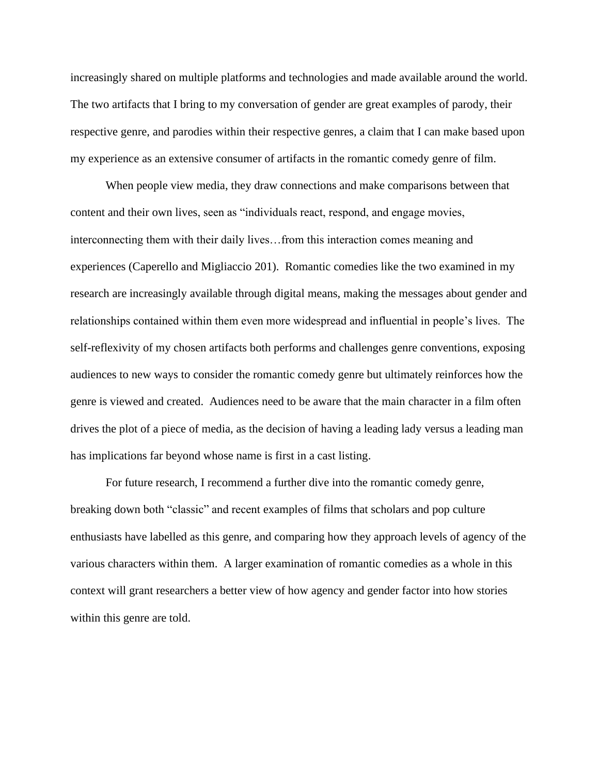increasingly shared on multiple platforms and technologies and made available around the world. The two artifacts that I bring to my conversation of gender are great examples of parody, their respective genre, and parodies within their respective genres, a claim that I can make based upon my experience as an extensive consumer of artifacts in the romantic comedy genre of film.

When people view media, they draw connections and make comparisons between that content and their own lives, seen as "individuals react, respond, and engage movies, interconnecting them with their daily lives…from this interaction comes meaning and experiences (Caperello and Migliaccio 201). Romantic comedies like the two examined in my research are increasingly available through digital means, making the messages about gender and relationships contained within them even more widespread and influential in people's lives. The self-reflexivity of my chosen artifacts both performs and challenges genre conventions, exposing audiences to new ways to consider the romantic comedy genre but ultimately reinforces how the genre is viewed and created. Audiences need to be aware that the main character in a film often drives the plot of a piece of media, as the decision of having a leading lady versus a leading man has implications far beyond whose name is first in a cast listing.

For future research, I recommend a further dive into the romantic comedy genre, breaking down both "classic" and recent examples of films that scholars and pop culture enthusiasts have labelled as this genre, and comparing how they approach levels of agency of the various characters within them. A larger examination of romantic comedies as a whole in this context will grant researchers a better view of how agency and gender factor into how stories within this genre are told.